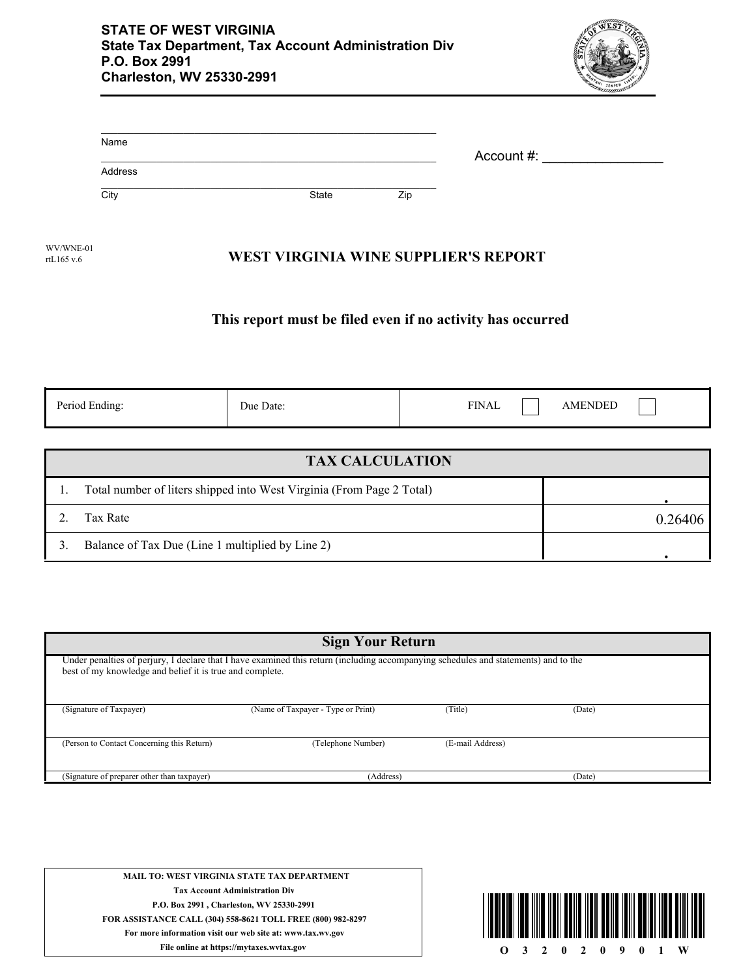

| Name    |       |     | Account #: |
|---------|-------|-----|------------|
| Address |       |     |            |
| City    | State | Zip |            |

**WEST VIRGINIA WINE SUPPLIER'S REPORT** WV/WNE-01 rtL165 v.6

## **This report must be filed even if no activity has occurred**

| Period Ending: | Due Date: | <b>FINAL</b> | <b>AMENDED</b> |  |
|----------------|-----------|--------------|----------------|--|
|                |           |              |                |  |

| <b>TAX CALCULATION</b>                                                |         |  |  |  |
|-----------------------------------------------------------------------|---------|--|--|--|
| Total number of liters shipped into West Virginia (From Page 2 Total) |         |  |  |  |
| Tax Rate                                                              | 0.2640f |  |  |  |
| Balance of Tax Due (Line 1 multiplied by Line 2)                      |         |  |  |  |

| <b>Sign Your Return</b>                                                                                                                                                                         |                                    |                  |        |  |  |
|-------------------------------------------------------------------------------------------------------------------------------------------------------------------------------------------------|------------------------------------|------------------|--------|--|--|
| Under penalties of perjury, I declare that I have examined this return (including accompanying schedules and statements) and to the<br>best of my knowledge and belief it is true and complete. |                                    |                  |        |  |  |
| (Signature of Taxpayer)                                                                                                                                                                         | (Name of Taxpayer - Type or Print) | (Title)          | (Date) |  |  |
| (Person to Contact Concerning this Return)                                                                                                                                                      | (Telephone Number)                 | (E-mail Address) |        |  |  |
| (Signature of preparer other than taxpayer)                                                                                                                                                     | (Address)                          |                  | (Date) |  |  |

**MAIL TO: WEST VIRGINIA STATE TAX DEPARTMENT Tax Account Administration Div P.O. Box 2991 , Charleston, WV 25330-2991 FOR ASSISTANCE CALL (304) 558-8621 TOLL FREE (800) 982-8297 For more information visit our web site at: www.tax.wv.gov**

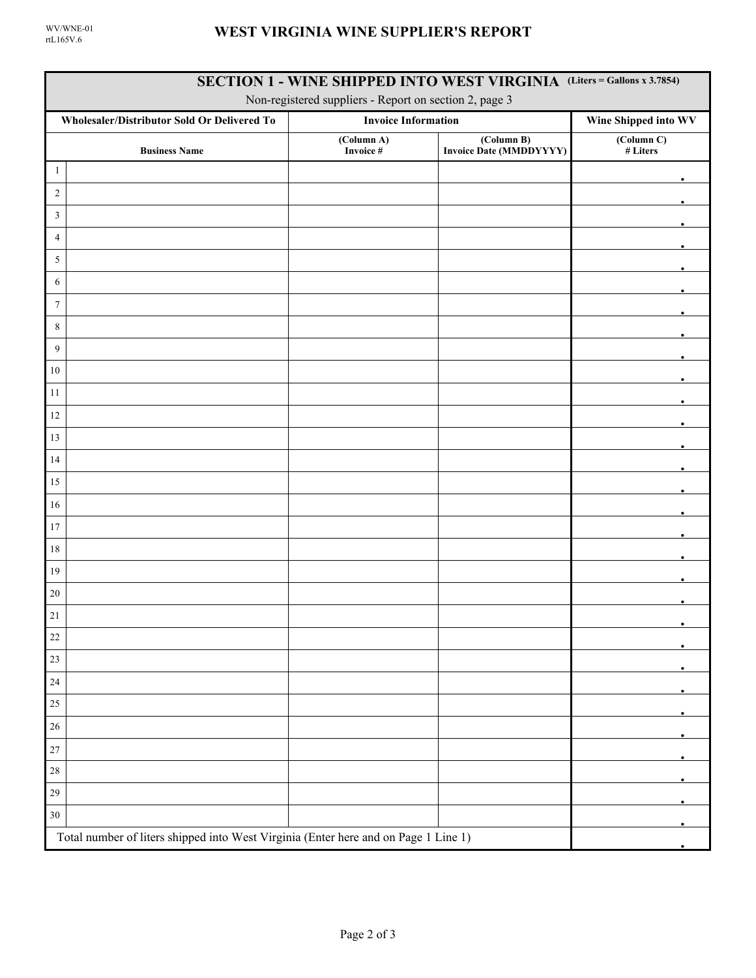| SECTION 1 - WINE SHIPPED INTO WEST VIRGINIA (Liters = Gallons x 3.7854)<br>Non-registered suppliers - Report on section 2, page 3 |                                                                                     |                         |                                              |                                     |  |  |
|-----------------------------------------------------------------------------------------------------------------------------------|-------------------------------------------------------------------------------------|-------------------------|----------------------------------------------|-------------------------------------|--|--|
|                                                                                                                                   | Wholesaler/Distributor Sold Or Delivered To<br><b>Invoice Information</b>           |                         | Wine Shipped into WV                         |                                     |  |  |
|                                                                                                                                   | <b>Business Name</b>                                                                | (Column A)<br>Invoice # | (Column B)<br><b>Invoice Date (MMDDYYYY)</b> | $\overline{(Column C)}$<br># Liters |  |  |
| $\mathbf{1}$                                                                                                                      |                                                                                     |                         |                                              |                                     |  |  |
| $\sqrt{2}$                                                                                                                        |                                                                                     |                         |                                              |                                     |  |  |
| $\mathfrak{Z}$                                                                                                                    |                                                                                     |                         |                                              |                                     |  |  |
| $\overline{4}$                                                                                                                    |                                                                                     |                         |                                              |                                     |  |  |
| $\sqrt{5}$                                                                                                                        |                                                                                     |                         |                                              |                                     |  |  |
| 6                                                                                                                                 |                                                                                     |                         |                                              |                                     |  |  |
| $\boldsymbol{7}$                                                                                                                  |                                                                                     |                         |                                              |                                     |  |  |
| $\,$ 8 $\,$                                                                                                                       |                                                                                     |                         |                                              |                                     |  |  |
| 9                                                                                                                                 |                                                                                     |                         |                                              |                                     |  |  |
| $10\,$                                                                                                                            |                                                                                     |                         |                                              |                                     |  |  |
| 11                                                                                                                                |                                                                                     |                         |                                              |                                     |  |  |
| 12                                                                                                                                |                                                                                     |                         |                                              |                                     |  |  |
| 13                                                                                                                                |                                                                                     |                         |                                              |                                     |  |  |
| 14                                                                                                                                |                                                                                     |                         |                                              |                                     |  |  |
| $15\,$                                                                                                                            |                                                                                     |                         |                                              |                                     |  |  |
| $16\,$                                                                                                                            |                                                                                     |                         |                                              |                                     |  |  |
| $17\,$                                                                                                                            |                                                                                     |                         |                                              |                                     |  |  |
| $18\,$                                                                                                                            |                                                                                     |                         |                                              |                                     |  |  |
| 19                                                                                                                                |                                                                                     |                         |                                              |                                     |  |  |
| 20                                                                                                                                |                                                                                     |                         |                                              |                                     |  |  |
| $21\,$                                                                                                                            |                                                                                     |                         |                                              |                                     |  |  |
| $22\,$                                                                                                                            |                                                                                     |                         |                                              |                                     |  |  |
| $23\,$                                                                                                                            |                                                                                     |                         |                                              |                                     |  |  |
| $24\,$                                                                                                                            |                                                                                     |                         |                                              |                                     |  |  |
| 25                                                                                                                                |                                                                                     |                         |                                              |                                     |  |  |
| $26\,$                                                                                                                            |                                                                                     |                         |                                              |                                     |  |  |
| $27\,$                                                                                                                            |                                                                                     |                         |                                              |                                     |  |  |
| $28\,$                                                                                                                            |                                                                                     |                         |                                              |                                     |  |  |
| $29\,$                                                                                                                            |                                                                                     |                         |                                              |                                     |  |  |
| $30\,$                                                                                                                            |                                                                                     |                         |                                              |                                     |  |  |
|                                                                                                                                   | Total number of liters shipped into West Virginia (Enter here and on Page 1 Line 1) |                         |                                              |                                     |  |  |